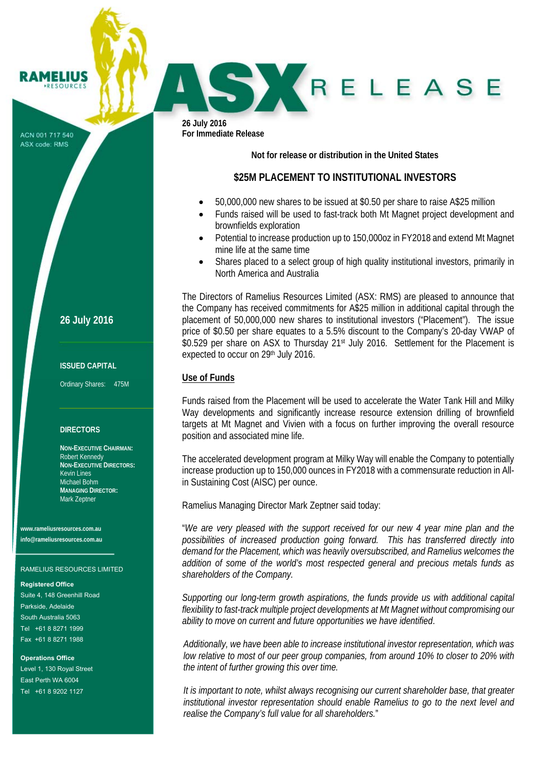ACN 001 717 540 ASX code: RMS

**RAMELIUS RESOURCE!** 

**26 July 2016** 

## **ISSUED CAPITAL**

Ordinary Shares: 475M

## **DIRECTORS**

**NON-EXECUTIVE CHAIRMAN:**  Robert Kennedy **NON-EXECUTIVE DIRECTORS:**  Kevin Lines Michael Bohm **MANAGING DIRECTOR:**  Mark Zeptner

**www.rameliusresources.com.au info@rameliusresources.com.au** 

## RAMELIUS RESOURCES LIMITED

### **Registered Office**

Suite 4, 148 Greenhill Road Parkside, Adelaide South Australia 5063 Tel +61 8 8271 1999 Fax +61 8 8271 1988

**Operations Office**  Level 1, 130 Royal Street East Perth WA 6004 Tel +61 8 9202 1127

**26 July 2016 For Immediate Release** 

**Not for release or distribution in the United States**

# **\$25M PLACEMENT TO INSTITUTIONAL INVESTORS**

- 50,000,000 new shares to be issued at \$0.50 per share to raise A\$25 million
- Funds raised will be used to fast-track both Mt Magnet project development and brownfields exploration

SKRELEASE

- Potential to increase production up to 150,000oz in FY2018 and extend Mt Magnet mine life at the same time
- Shares placed to a select group of high quality institutional investors, primarily in North America and Australia

The Directors of Ramelius Resources Limited (ASX: RMS) are pleased to announce that the Company has received commitments for A\$25 million in additional capital through the placement of 50,000,000 new shares to institutional investors ("Placement"). The issue price of \$0.50 per share equates to a 5.5% discount to the Company's 20-day VWAP of \$0.529 per share on ASX to Thursday 21<sup>st</sup> July 2016. Settlement for the Placement is expected to occur on 29th July 2016.

## **Use of Funds**

Funds raised from the Placement will be used to accelerate the Water Tank Hill and Milky Way developments and significantly increase resource extension drilling of brownfield targets at Mt Magnet and Vivien with a focus on further improving the overall resource position and associated mine life.

The accelerated development program at Milky Way will enable the Company to potentially increase production up to 150,000 ounces in FY2018 with a commensurate reduction in Allin Sustaining Cost (AISC) per ounce.

Ramelius Managing Director Mark Zeptner said today:

"*We are very pleased with the support received for our new 4 year mine plan and the possibilities of increased production going forward. This has transferred directly into demand for the Placement, which was heavily oversubscribed, and Ramelius welcomes the addition of some of the world's most respected general and precious metals funds as shareholders of the Company.* 

*Supporting our long-term growth aspirations, the funds provide us with additional capital flexibility to fast-track multiple project developments at Mt Magnet without compromising our ability to move on current and future opportunities we have identified*.

*Additionally, we have been able to increase institutional investor representation, which was low relative to most of our peer group companies, from around 10% to closer to 20% with the intent of further growing this over time.* 

*It is important to note, whilst always recognising our current shareholder base, that greater institutional investor representation should enable Ramelius to go to the next level and realise the Company's full value for all shareholders.*"